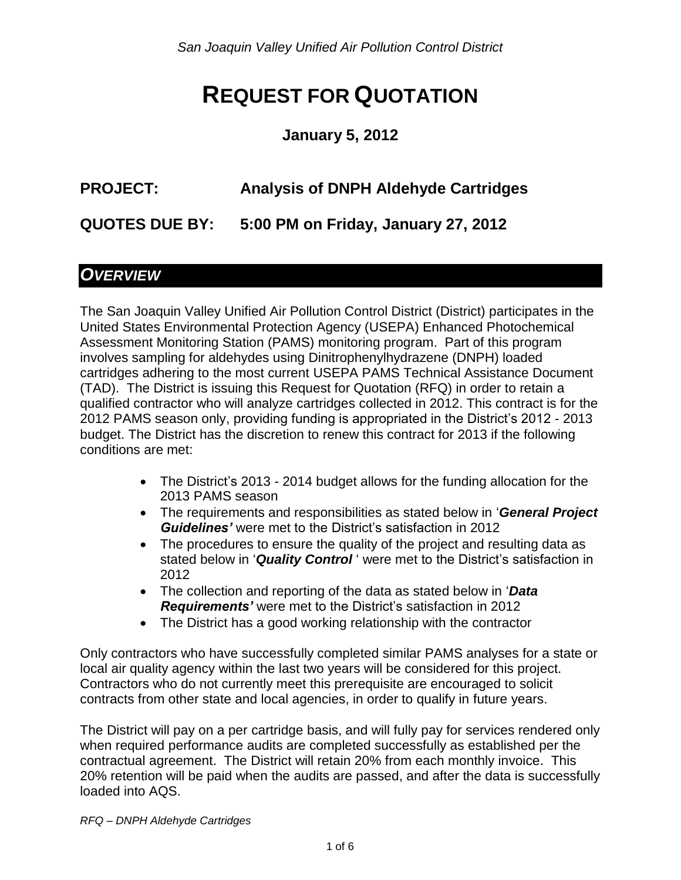# **REQUEST FOR QUOTATION**

#### **January 5, 2012**

## **PROJECT: Analysis of DNPH Aldehyde Cartridges**

**QUOTES DUE BY: 5:00 PM on Friday, January 27, 2012**

#### *OVERVIEW*

The San Joaquin Valley Unified Air Pollution Control District (District) participates in the United States Environmental Protection Agency (USEPA) Enhanced Photochemical Assessment Monitoring Station (PAMS) monitoring program. Part of this program involves sampling for aldehydes using Dinitrophenylhydrazene (DNPH) loaded cartridges adhering to the most current USEPA PAMS Technical Assistance Document (TAD). The District is issuing this Request for Quotation (RFQ) in order to retain a qualified contractor who will analyze cartridges collected in 2012. This contract is for the 2012 PAMS season only, providing funding is appropriated in the District's 2012 - 2013 budget. The District has the discretion to renew this contract for 2013 if the following conditions are met:

- The District's 2013 2014 budget allows for the funding allocation for the 2013 PAMS season
- The requirements and responsibilities as stated below in '*General Project Guidelines'* were met to the District's satisfaction in 2012
- The procedures to ensure the quality of the project and resulting data as stated below in '*Quality Control* ' were met to the District's satisfaction in 2012
- The collection and reporting of the data as stated below in '*Data Requirements'* were met to the District's satisfaction in 2012
- The District has a good working relationship with the contractor

Only contractors who have successfully completed similar PAMS analyses for a state or local air quality agency within the last two years will be considered for this project. Contractors who do not currently meet this prerequisite are encouraged to solicit contracts from other state and local agencies, in order to qualify in future years.

The District will pay on a per cartridge basis, and will fully pay for services rendered only when required performance audits are completed successfully as established per the contractual agreement. The District will retain 20% from each monthly invoice. This 20% retention will be paid when the audits are passed, and after the data is successfully loaded into AQS.

*RFQ – DNPH Aldehyde Cartridges*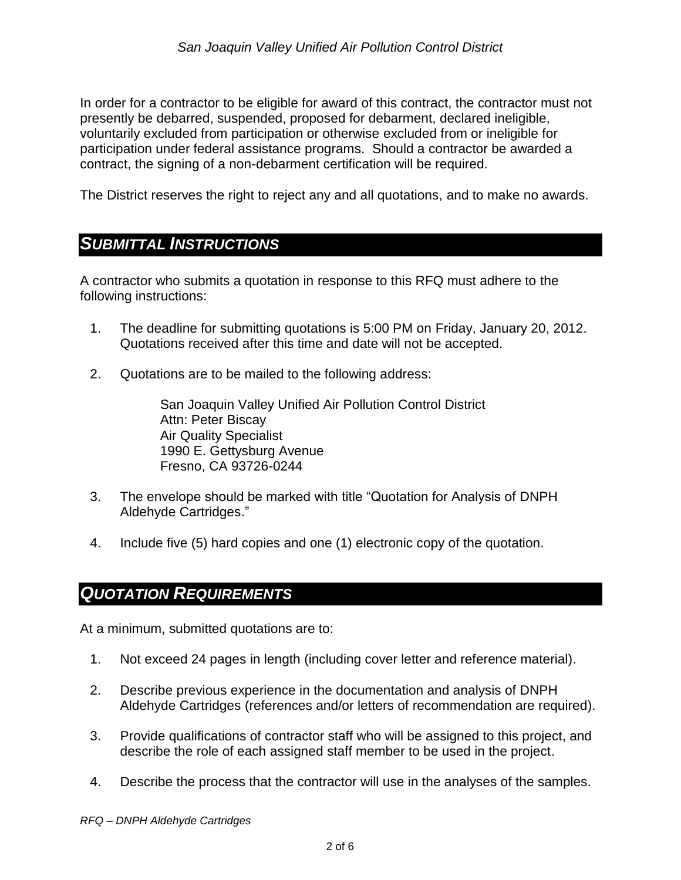In order for a contractor to be eligible for award of this contract, the contractor must not presently be debarred, suspended, proposed for debarment, declared ineligible, voluntarily excluded from participation or otherwise excluded from or ineligible for participation under federal assistance programs. Should a contractor be awarded a contract, the signing of a non-debarment certification will be required.

The District reserves the right to reject any and all quotations, and to make no awards.

#### *SUBMITTAL INSTRUCTIONS*

A contractor who submits a quotation in response to this RFQ must adhere to the following instructions:

- 1. The deadline for submitting quotations is 5:00 PM on Friday, January 20, 2012. Quotations received after this time and date will not be accepted.
- 2. Quotations are to be mailed to the following address:

San Joaquin Valley Unified Air Pollution Control District Attn: Peter Biscay Air Quality Specialist 1990 E. Gettysburg Avenue Fresno, CA 93726-0244

- 3. The envelope should be marked with title "Quotation for Analysis of DNPH Aldehyde Cartridges."
- 4. Include five (5) hard copies and one (1) electronic copy of the quotation.

#### *QUOTATION REQUIREMENTS*

At a minimum, submitted quotations are to:

- 1. Not exceed 24 pages in length (including cover letter and reference material).
- 2. Describe previous experience in the documentation and analysis of DNPH Aldehyde Cartridges (references and/or letters of recommendation are required).
- 3. Provide qualifications of contractor staff who will be assigned to this project, and describe the role of each assigned staff member to be used in the project.
- 4. Describe the process that the contractor will use in the analyses of the samples.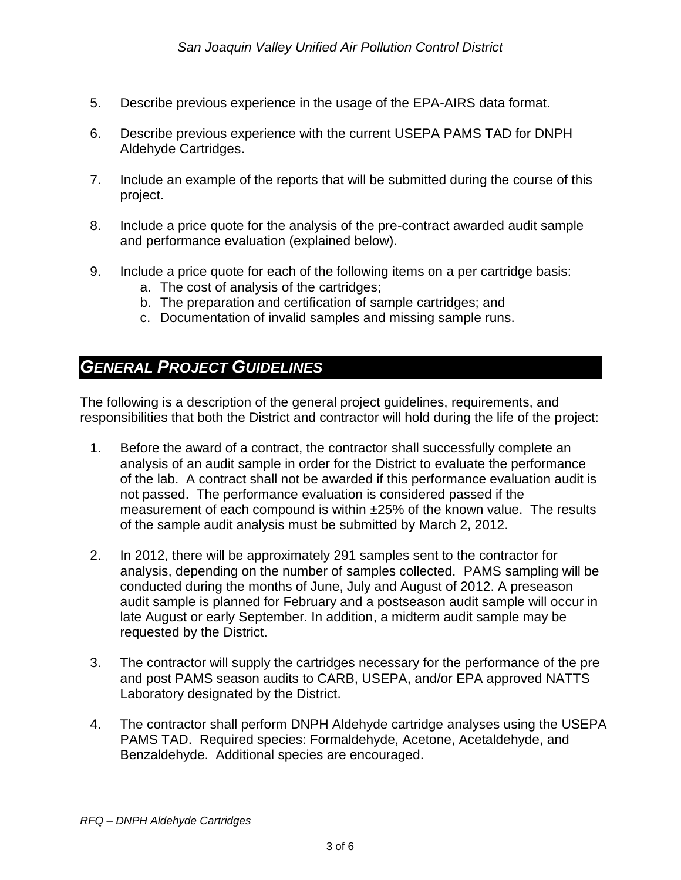- 5. Describe previous experience in the usage of the EPA-AIRS data format.
- 6. Describe previous experience with the current USEPA PAMS TAD for DNPH Aldehyde Cartridges.
- 7. Include an example of the reports that will be submitted during the course of this project.
- 8. Include a price quote for the analysis of the pre-contract awarded audit sample and performance evaluation (explained below).
- 9. Include a price quote for each of the following items on a per cartridge basis:
	- a. The cost of analysis of the cartridges;
	- b. The preparation and certification of sample cartridges; and
	- c. Documentation of invalid samples and missing sample runs.

#### *GENERAL PROJECT GUIDELINES*

The following is a description of the general project guidelines, requirements, and responsibilities that both the District and contractor will hold during the life of the project:

- 1. Before the award of a contract, the contractor shall successfully complete an analysis of an audit sample in order for the District to evaluate the performance of the lab. A contract shall not be awarded if this performance evaluation audit is not passed. The performance evaluation is considered passed if the measurement of each compound is within ±25% of the known value. The results of the sample audit analysis must be submitted by March 2, 2012.
- 2. In 2012, there will be approximately 291 samples sent to the contractor for analysis, depending on the number of samples collected. PAMS sampling will be conducted during the months of June, July and August of 2012. A preseason audit sample is planned for February and a postseason audit sample will occur in late August or early September. In addition, a midterm audit sample may be requested by the District.
- 3. The contractor will supply the cartridges necessary for the performance of the pre and post PAMS season audits to CARB, USEPA, and/or EPA approved NATTS Laboratory designated by the District.
- 4. The contractor shall perform DNPH Aldehyde cartridge analyses using the USEPA PAMS TAD. Required species: Formaldehyde, Acetone, Acetaldehyde, and Benzaldehyde. Additional species are encouraged.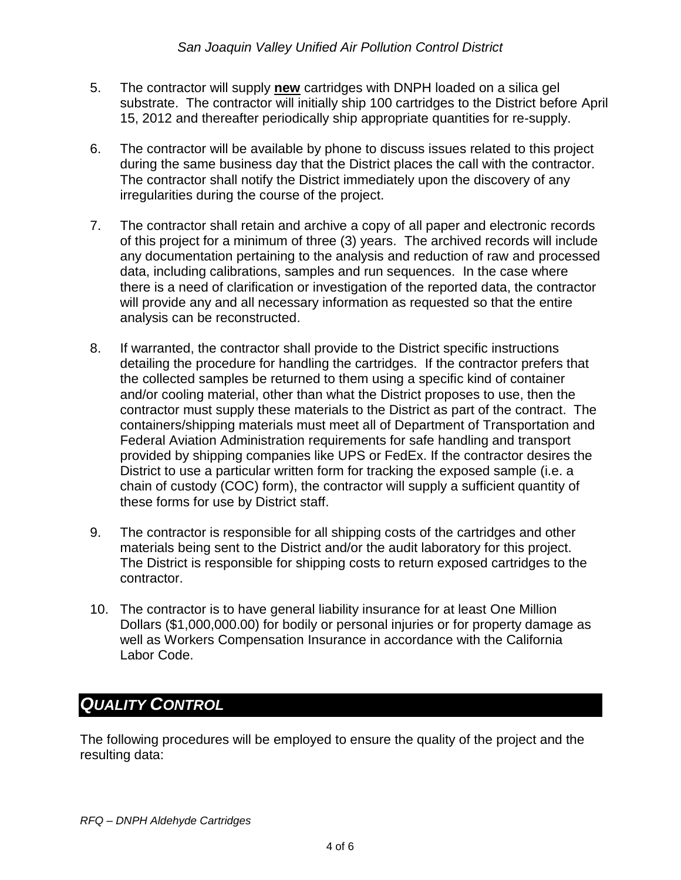- 5. The contractor will supply **new** cartridges with DNPH loaded on a silica gel substrate. The contractor will initially ship 100 cartridges to the District before April 15, 2012 and thereafter periodically ship appropriate quantities for re-supply.
- 6. The contractor will be available by phone to discuss issues related to this project during the same business day that the District places the call with the contractor. The contractor shall notify the District immediately upon the discovery of any irregularities during the course of the project.
- 7. The contractor shall retain and archive a copy of all paper and electronic records of this project for a minimum of three (3) years. The archived records will include any documentation pertaining to the analysis and reduction of raw and processed data, including calibrations, samples and run sequences. In the case where there is a need of clarification or investigation of the reported data, the contractor will provide any and all necessary information as requested so that the entire analysis can be reconstructed.
- 8. If warranted, the contractor shall provide to the District specific instructions detailing the procedure for handling the cartridges. If the contractor prefers that the collected samples be returned to them using a specific kind of container and/or cooling material, other than what the District proposes to use, then the contractor must supply these materials to the District as part of the contract. The containers/shipping materials must meet all of Department of Transportation and Federal Aviation Administration requirements for safe handling and transport provided by shipping companies like UPS or FedEx. If the contractor desires the District to use a particular written form for tracking the exposed sample (i.e. a chain of custody (COC) form), the contractor will supply a sufficient quantity of these forms for use by District staff.
- 9. The contractor is responsible for all shipping costs of the cartridges and other materials being sent to the District and/or the audit laboratory for this project. The District is responsible for shipping costs to return exposed cartridges to the contractor.
- 10. The contractor is to have general liability insurance for at least One Million Dollars (\$1,000,000.00) for bodily or personal injuries or for property damage as well as Workers Compensation Insurance in accordance with the California Labor Code.

#### *QUALITY CONTROL*

The following procedures will be employed to ensure the quality of the project and the resulting data: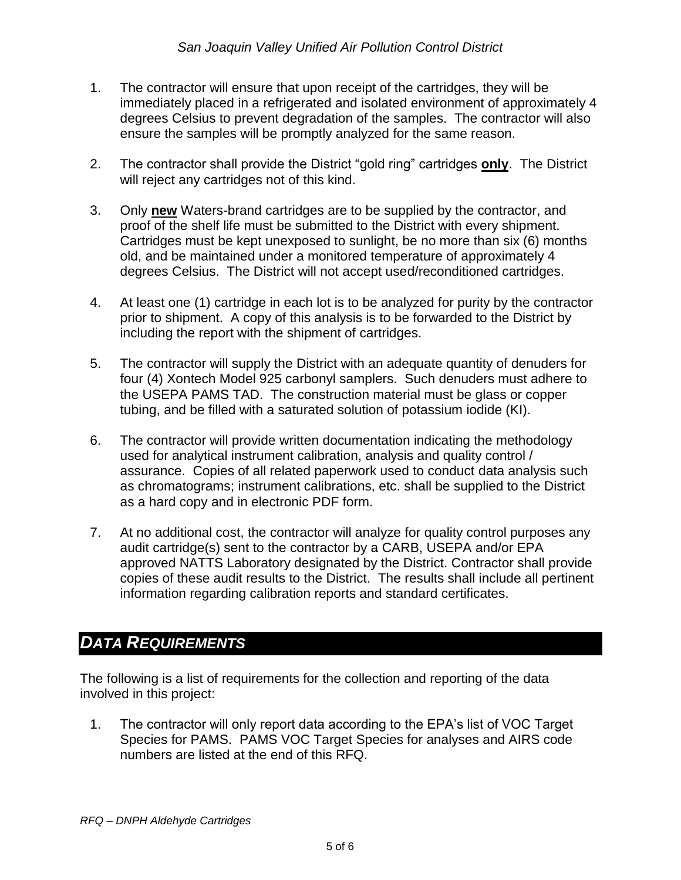- 1. The contractor will ensure that upon receipt of the cartridges, they will be immediately placed in a refrigerated and isolated environment of approximately 4 degrees Celsius to prevent degradation of the samples. The contractor will also ensure the samples will be promptly analyzed for the same reason.
- 2. The contractor shall provide the District "gold ring" cartridges **only**. The District will reject any cartridges not of this kind.
- 3. Only **new** Waters-brand cartridges are to be supplied by the contractor, and proof of the shelf life must be submitted to the District with every shipment. Cartridges must be kept unexposed to sunlight, be no more than six (6) months old, and be maintained under a monitored temperature of approximately 4 degrees Celsius. The District will not accept used/reconditioned cartridges.
- 4. At least one (1) cartridge in each lot is to be analyzed for purity by the contractor prior to shipment. A copy of this analysis is to be forwarded to the District by including the report with the shipment of cartridges.
- 5. The contractor will supply the District with an adequate quantity of denuders for four (4) Xontech Model 925 carbonyl samplers. Such denuders must adhere to the USEPA PAMS TAD. The construction material must be glass or copper tubing, and be filled with a saturated solution of potassium iodide (KI).
- 6. The contractor will provide written documentation indicating the methodology used for analytical instrument calibration, analysis and quality control / assurance. Copies of all related paperwork used to conduct data analysis such as chromatograms; instrument calibrations, etc. shall be supplied to the District as a hard copy and in electronic PDF form.
- 7. At no additional cost, the contractor will analyze for quality control purposes any audit cartridge(s) sent to the contractor by a CARB, USEPA and/or EPA approved NATTS Laboratory designated by the District. Contractor shall provide copies of these audit results to the District. The results shall include all pertinent information regarding calibration reports and standard certificates.

# *DATA REQUIREMENTS*

The following is a list of requirements for the collection and reporting of the data involved in this project:

1. The contractor will only report data according to the EPA's list of VOC Target Species for PAMS. PAMS VOC Target Species for analyses and AIRS code numbers are listed at the end of this RFQ.